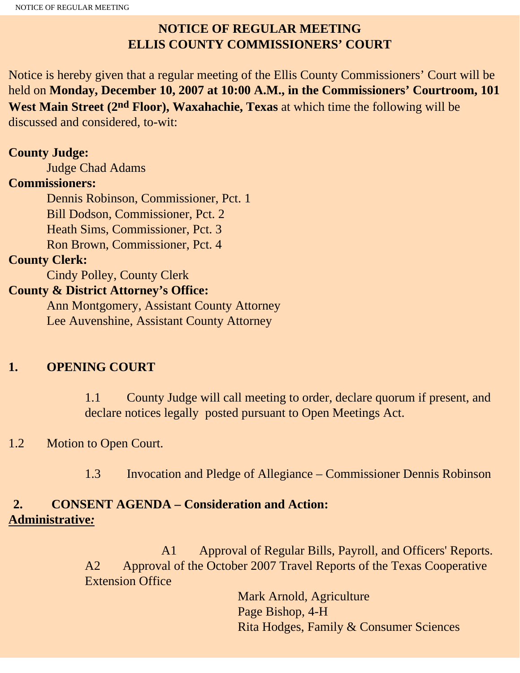## **NOTICE OF REGULAR MEETING ELLIS COUNTY COMMISSIONERS' COURT**

Notice is hereby given that a regular meeting of the Ellis County Commissioners' Court will be held on **Monday, December 10, 2007 at 10:00 A.M., in the Commissioners' Courtroom, 101 West Main Street (2nd Floor), Waxahachie, Texas** at which time the following will be discussed and considered, to-wit:

### **County Judge:**

Judge Chad Adams

### **Commissioners:**

 Dennis Robinson, Commissioner, Pct. 1 Bill Dodson, Commissioner, Pct. 2 Heath Sims, Commissioner, Pct. 3 Ron Brown, Commissioner, Pct. 4

### **County Clerk:**

Cindy Polley, County Clerk

### **County & District Attorney's Office:**

 Ann Montgomery, Assistant County Attorney Lee Auvenshine, Assistant County Attorney

## **1. OPENING COURT**

1.1 County Judge will call meeting to order, declare quorum if present, and declare notices legally posted pursuant to Open Meetings Act.

## 1.2 Motion to Open Court.

1.3 Invocation and Pledge of Allegiance – Commissioner Dennis Robinson

## **2. CONSENT AGENDA – Consideration and Action: Administrative***:*

 A1 Approval of Regular Bills, Payroll, and Officers' Reports. A2 Approval of the October 2007 Travel Reports of the Texas Cooperative Extension Office

> Mark Arnold, Agriculture Page Bishop, 4-H Rita Hodges, Family & Consumer Sciences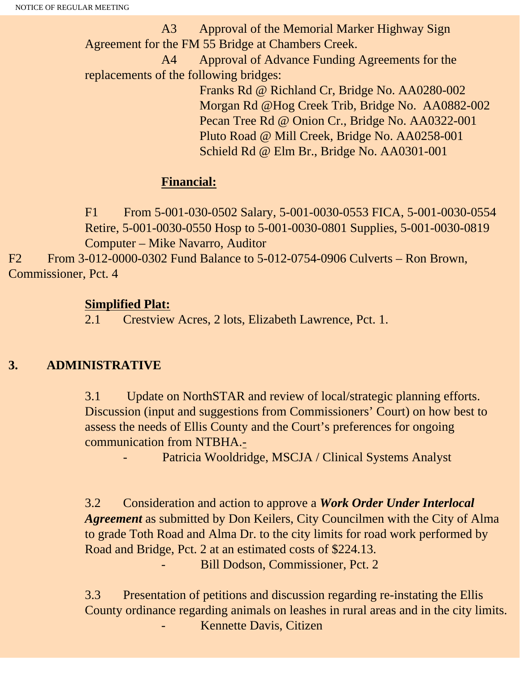A3 Approval of the Memorial Marker Highway Sign Agreement for the FM 55 Bridge at Chambers Creek.

 A4 Approval of Advance Funding Agreements for the replacements of the following bridges:

> Franks Rd @ Richland Cr, Bridge No. AA0280-002 Morgan Rd @Hog Creek Trib, Bridge No. AA0882-002 Pecan Tree Rd @ Onion Cr., Bridge No. AA0322-001 Pluto Road @ Mill Creek, Bridge No. AA0258-001 Schield Rd @ Elm Br., Bridge No. AA0301-001

#### **Financial:**

F1 From 5-001-030-0502 Salary, 5-001-0030-0553 FICA, 5-001-0030-0554 Retire, 5-001-0030-0550 Hosp to 5-001-0030-0801 Supplies, 5-001-0030-0819 Computer – Mike Navarro, Auditor

F2 From 3-012-0000-0302 Fund Balance to 5-012-0754-0906 Culverts – Ron Brown, Commissioner, Pct. 4

#### **Simplified Plat:**

2.1 Crestview Acres, 2 lots, Elizabeth Lawrence, Pct. 1.

## **3. ADMINISTRATIVE**

3.1 Update on NorthSTAR and review of local/strategic planning efforts. Discussion (input and suggestions from Commissioners' Court) on how best to assess the needs of Ellis County and the Court's preferences for ongoing communication from NTBHA.-

Patricia Wooldridge, MSCJA / Clinical Systems Analyst

3.2 Consideration and action to approve a *Work Order Under Interlocal Agreement* as submitted by Don Keilers, City Councilmen with the City of Alma to grade Toth Road and Alma Dr. to the city limits for road work performed by Road and Bridge, Pct. 2 at an estimated costs of \$224.13.

Bill Dodson, Commissioner, Pct. 2

3.3 Presentation of petitions and discussion regarding re-instating the Ellis County ordinance regarding animals on leashes in rural areas and in the city limits. Kennette Davis, Citizen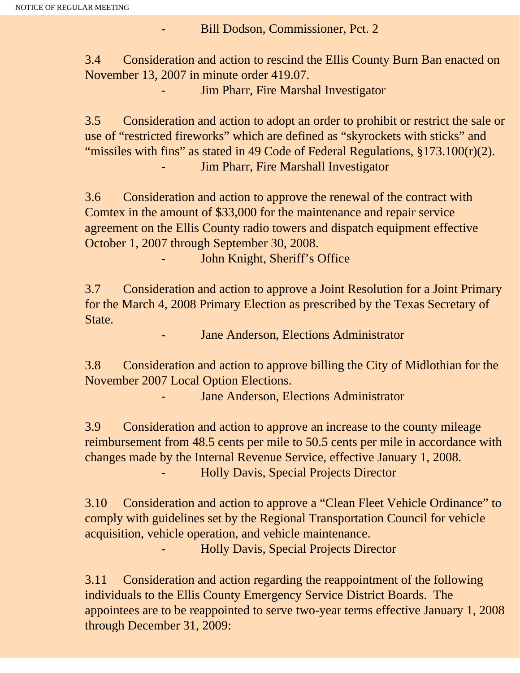Bill Dodson, Commissioner, Pct. 2

3.4 Consideration and action to rescind the Ellis County Burn Ban enacted on November 13, 2007 in minute order 419.07.

Jim Pharr, Fire Marshal Investigator

3.5 Consideration and action to adopt an order to prohibit or restrict the sale or use of "restricted fireworks" which are defined as "skyrockets with sticks" and "missiles with fins" as stated in 49 Code of Federal Regulations, §173.100(r)(2). Jim Pharr, Fire Marshall Investigator

3.6 Consideration and action to approve the renewal of the contract with Comtex in the amount of \$33,000 for the maintenance and repair service agreement on the Ellis County radio towers and dispatch equipment effective October 1, 2007 through September 30, 2008.

John Knight, Sheriff's Office

3.7 Consideration and action to approve a Joint Resolution for a Joint Primary for the March 4, 2008 Primary Election as prescribed by the Texas Secretary of State.

Jane Anderson, Elections Administrator

3.8 Consideration and action to approve billing the City of Midlothian for the November 2007 Local Option Elections.

Jane Anderson, Elections Administrator

3.9 Consideration and action to approve an increase to the county mileage reimbursement from 48.5 cents per mile to 50.5 cents per mile in accordance with changes made by the Internal Revenue Service, effective January 1, 2008. - Holly Davis, Special Projects Director

3.10 Consideration and action to approve a "Clean Fleet Vehicle Ordinance" to comply with guidelines set by the Regional Transportation Council for vehicle acquisition, vehicle operation, and vehicle maintenance.

- Holly Davis, Special Projects Director

3.11 Consideration and action regarding the reappointment of the following individuals to the Ellis County Emergency Service District Boards. The appointees are to be reappointed to serve two-year terms effective January 1, 2008 through December 31, 2009: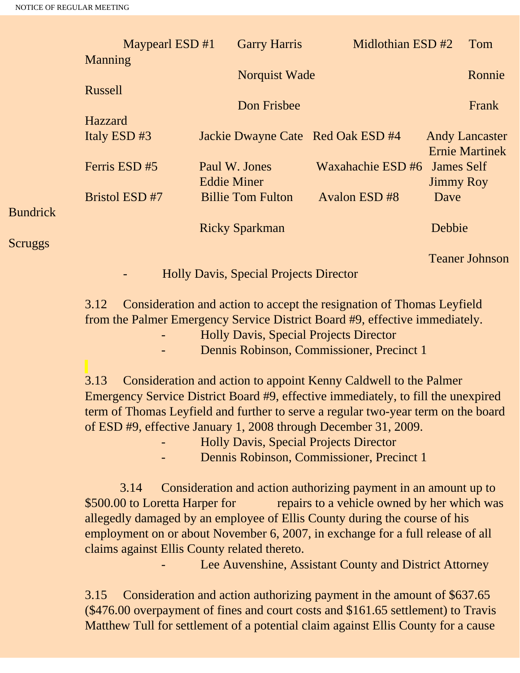|                 | Maypearl ESD $#1$<br>Manning |                    | <b>Garry Harris</b>      |                                   | Midlothian ESD #2 |                       |
|-----------------|------------------------------|--------------------|--------------------------|-----------------------------------|-------------------|-----------------------|
|                 |                              |                    | Norquist Wade            |                                   |                   | Ronnie                |
|                 | Russell                      |                    |                          |                                   |                   |                       |
|                 |                              |                    | Don Frisbee              |                                   |                   | Frank                 |
|                 | Hazzard                      |                    |                          |                                   |                   |                       |
|                 | Italy ESD#3                  |                    |                          | Jackie Dwayne Cate Red Oak ESD #4 |                   | <b>Andy Lancaster</b> |
|                 |                              |                    |                          |                                   |                   | <b>Ernie Martinek</b> |
|                 | Ferris ESD #5                | Paul W. Jones      |                          | Waxahachie ESD #6                 | <b>James Self</b> |                       |
|                 |                              | <b>Eddie Miner</b> |                          |                                   | <b>Jimmy Roy</b>  |                       |
|                 | <b>Bristol ESD #7</b>        |                    | <b>Billie Tom Fulton</b> | Avalon ESD #8                     | Dave              |                       |
| <b>Bundrick</b> |                              |                    |                          |                                   |                   |                       |
|                 |                              |                    | <b>Ricky Sparkman</b>    |                                   | Debbie            |                       |
| <b>Scruggs</b>  |                              |                    |                          |                                   |                   |                       |

Teaner Johnson

- Holly Davis, Special Projects Director

3.12 Consideration and action to accept the resignation of Thomas Leyfield from the Palmer Emergency Service District Board #9, effective immediately.

- Holly Davis, Special Projects Director

Dennis Robinson, Commissioner, Precinct 1

3.13 Consideration and action to appoint Kenny Caldwell to the Palmer Emergency Service District Board #9, effective immediately, to fill the unexpired term of Thomas Leyfield and further to serve a regular two-year term on the board of ESD #9, effective January 1, 2008 through December 31, 2009.

- Holly Davis, Special Projects Director
- Dennis Robinson, Commissioner, Precinct 1

 3.14 Consideration and action authorizing payment in an amount up to \$500.00 to Loretta Harper for repairs to a vehicle owned by her which was allegedly damaged by an employee of Ellis County during the course of his employment on or about November 6, 2007, in exchange for a full release of all claims against Ellis County related thereto.

Lee Auvenshine, Assistant County and District Attorney

3.15 Consideration and action authorizing payment in the amount of \$637.65 (\$476.00 overpayment of fines and court costs and \$161.65 settlement) to Travis Matthew Tull for settlement of a potential claim against Ellis County for a cause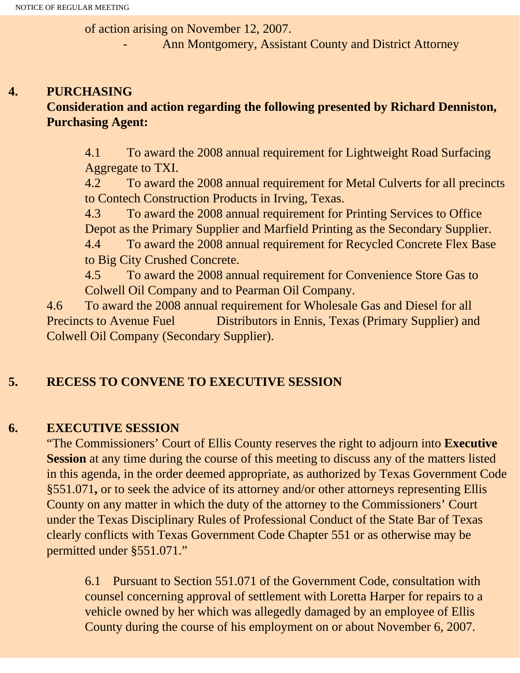of action arising on November 12, 2007.

Ann Montgomery, Assistant County and District Attorney

## **4. PURCHASING Consideration and action regarding the following presented by Richard Denniston, Purchasing Agent:**

4.1 To award the 2008 annual requirement for Lightweight Road Surfacing Aggregate to TXI.

4.2 To award the 2008 annual requirement for Metal Culverts for all precincts to Contech Construction Products in Irving, Texas.

4.3 To award the 2008 annual requirement for Printing Services to Office Depot as the Primary Supplier and Marfield Printing as the Secondary Supplier. 4.4 To award the 2008 annual requirement for Recycled Concrete Flex Base to Big City Crushed Concrete.

4.5 To award the 2008 annual requirement for Convenience Store Gas to Colwell Oil Company and to Pearman Oil Company.

4.6 To award the 2008 annual requirement for Wholesale Gas and Diesel for all Precincts to Avenue Fuel Distributors in Ennis, Texas (Primary Supplier) and Colwell Oil Company (Secondary Supplier).

# **5. RECESS TO CONVENE TO EXECUTIVE SESSION**

## **6. EXECUTIVE SESSION**

"The Commissioners' Court of Ellis County reserves the right to adjourn into **Executive Session** at any time during the course of this meeting to discuss any of the matters listed in this agenda, in the order deemed appropriate, as authorized by Texas Government Code §551.071**,** or to seek the advice of its attorney and/or other attorneys representing Ellis County on any matter in which the duty of the attorney to the Commissioners' Court under the Texas Disciplinary Rules of Professional Conduct of the State Bar of Texas clearly conflicts with Texas Government Code Chapter 551 or as otherwise may be permitted under §551.071."

6.1 Pursuant to Section 551.071 of the Government Code, consultation with counsel concerning approval of settlement with Loretta Harper for repairs to a vehicle owned by her which was allegedly damaged by an employee of Ellis County during the course of his employment on or about November 6, 2007.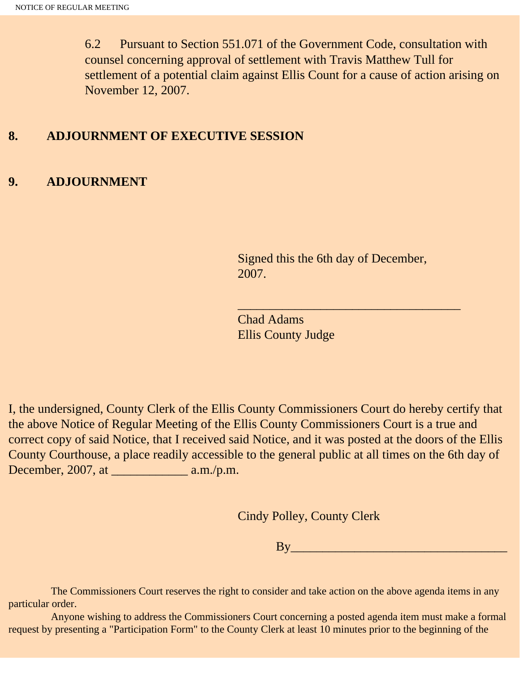6.2 Pursuant to Section 551.071 of the Government Code, consultation with counsel concerning approval of settlement with Travis Matthew Tull for settlement of a potential claim against Ellis Count for a cause of action arising on November 12, 2007.

#### **8. ADJOURNMENT OF EXECUTIVE SESSION**

#### **9. ADJOURNMENT**

Signed this the 6th day of December, 2007.

 $\overline{\phantom{a}}$  , and the set of the set of the set of the set of the set of the set of the set of the set of the set of the set of the set of the set of the set of the set of the set of the set of the set of the set of the s

Chad Adams Ellis County Judge

I, the undersigned, County Clerk of the Ellis County Commissioners Court do hereby certify that the above Notice of Regular Meeting of the Ellis County Commissioners Court is a true and correct copy of said Notice, that I received said Notice, and it was posted at the doors of the Ellis County Courthouse, a place readily accessible to the general public at all times on the 6th day of December, 2007, at \_\_\_\_\_\_\_\_\_\_\_\_ a.m./p.m.

Cindy Polley, County Clerk

By\_\_\_\_\_\_\_\_\_\_\_\_\_\_\_\_\_\_\_\_\_\_\_\_\_\_\_\_\_\_\_\_\_\_

 The Commissioners Court reserves the right to consider and take action on the above agenda items in any particular order.

 Anyone wishing to address the Commissioners Court concerning a posted agenda item must make a formal request by presenting a "Participation Form" to the County Clerk at least 10 minutes prior to the beginning of the